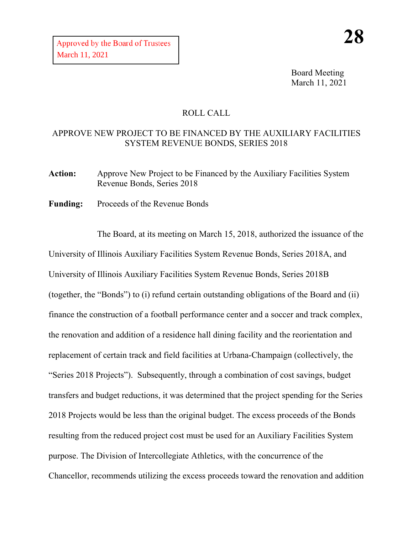Board Meeting March 11, 2021

# ROLL CALL

# APPROVE NEW PROJECT TO BE FINANCED BY THE AUXILIARY FACILITIES SYSTEM REVENUE BONDS, SERIES 2018

Action: Approve New Project to be Financed by the Auxiliary Facilities System Revenue Bonds, Series 2018

**Funding:** Proceeds of the Revenue Bonds

The Board, at its meeting on March 15, 2018, authorized the issuance of the University of Illinois Auxiliary Facilities System Revenue Bonds, Series 2018A, and University of Illinois Auxiliary Facilities System Revenue Bonds, Series 2018B (together, the "Bonds") to (i) refund certain outstanding obligations of the Board and (ii) finance the construction of a football performance center and a soccer and track complex, the renovation and addition of a residence hall dining facility and the reorientation and replacement of certain track and field facilities at Urbana-Champaign (collectively, the "Series 2018 Projects"). Subsequently, through a combination of cost savings, budget transfers and budget reductions, it was determined that the project spending for the Series 2018 Projects would be less than the original budget. The excess proceeds of the Bonds resulting from the reduced project cost must be used for an Auxiliary Facilities System purpose. The Division of Intercollegiate Athletics, with the concurrence of the Chancellor, recommends utilizing the excess proceeds toward the renovation and addition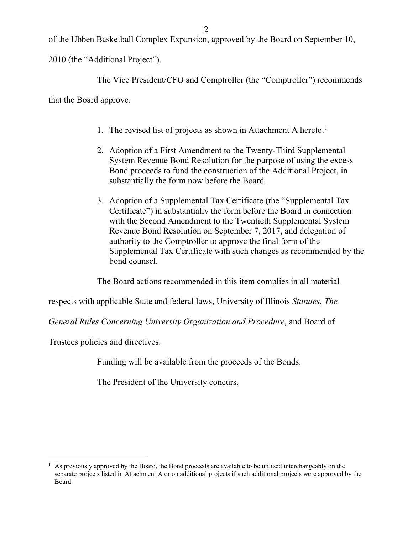of the Ubben Basketball Complex Expansion, approved by the Board on September 10,

2010 (the "Additional Project").

The Vice President/CFO and Comptroller (the "Comptroller") recommends

that the Board approve:

- [1](#page-1-0). The revised list of projects as shown in Attachment A hereto.<sup>1</sup>
- 2. Adoption of a First Amendment to the Twenty-Third Supplemental System Revenue Bond Resolution for the purpose of using the excess Bond proceeds to fund the construction of the Additional Project, in substantially the form now before the Board.
- 3. Adoption of a Supplemental Tax Certificate (the "Supplemental Tax Certificate") in substantially the form before the Board in connection with the Second Amendment to the Twentieth Supplemental System Revenue Bond Resolution on September 7, 2017, and delegation of authority to the Comptroller to approve the final form of the Supplemental Tax Certificate with such changes as recommended by the bond counsel.

The Board actions recommended in this item complies in all material

respects with applicable State and federal laws, University of Illinois *Statutes*, *The* 

*General Rules Concerning University Organization and Procedure*, and Board of

Trustees policies and directives.

Funding will be available from the proceeds of the Bonds.

The President of the University concurs.

<span id="page-1-0"></span> $<sup>1</sup>$  As previously approved by the Board, the Bond proceeds are available to be utilized interchangeably on the</sup> separate projects listed in Attachment A or on additional projects if such additional projects were approved by the Board.